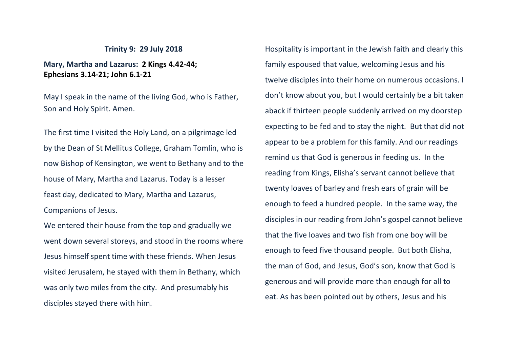## **Trinity 9: 29 July 2018**

## **Mary, Martha and Lazarus: 2 Kings 4.42-44; Ephesians 3.14-21; John 6.1-21**

May I speak in the name of the living God, who is Father, Son and Holy Spirit. Amen.

The first time I visited the Holy Land, on a pilgrimage led by the Dean of St Mellitus College, Graham Tomlin, who is now Bishop of Kensington, we went to Bethany and to the house of Mary, Martha and Lazarus. Today is a lesser feast day, dedicated to Mary, Martha and Lazarus, Companions of Jesus.

We entered their house from the top and gradually we went down several storeys, and stood in the rooms where Jesus himself spent time with these friends. When Jesus visited Jerusalem, he stayed with them in Bethany, which was only two miles from the city. And presumably his disciples stayed there with him.

Hospitality is important in the Jewish faith and clearly this family espoused that value, welcoming Jesus and his twelve disciples into their home on numerous occasions. I don't know about you, but I would certainly be a bit taken aback if thirteen people suddenly arrived on my doorstep expecting to be fed and to stay the night. But that did not appear to be a problem for this family. And our readings remind us that God is generous in feeding us. In the reading from Kings, Elisha's servant cannot believe that twenty loaves of barley and fresh ears of grain will be enough to feed a hundred people. In the same way, the disciples in our reading from John's gospel cannot believe that the five loaves and two fish from one boy will be enough to feed five thousand people. But both Elisha, the man of God, and Jesus, God's son, know that God is generous and will provide more than enough for all to eat. As has been pointed out by others, Jesus and his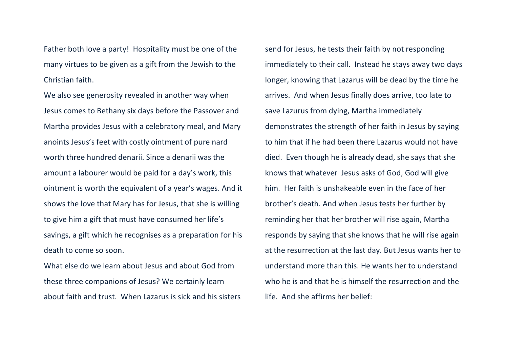Father both love a party! Hospitality must be one of the many virtues to be given as a gift from the Jewish to the Christian faith.

We also see generosity revealed in another way when Jesus comes to Bethany six days before the Passover and Martha provides Jesus with a celebratory meal, and Mary anoints Jesus's feet with costly ointment of pure nard worth three hundred denarii. Since a denarii was the amount a labourer would be paid for a day's work, this ointment is worth the equivalent of a year's wages. And it shows the love that Mary has for Jesus, that she is willing to give him a gift that must have consumed her life's savings, a gift which he recognises as a preparation for his death to come so soon.

What else do we learn about Jesus and about God from these three companions of Jesus? We certainly learn about faith and trust. When Lazarus is sick and his sisters send for Jesus, he tests their faith by not responding immediately to their call. Instead he stays away two days longer, knowing that Lazarus will be dead by the time he arrives. And when Jesus finally does arrive, too late to save Lazurus from dying, Martha immediately demonstrates the strength of her faith in Jesus by saying to him that if he had been there Lazarus would not have died. Even though he is already dead, she says that she knows that whatever Jesus asks of God, God will give him. Her faith is unshakeable even in the face of her brother's death. And when Jesus tests her further by reminding her that her brother will rise again, Martha responds by saying that she knows that he will rise again at the resurrection at the last day. But Jesus wants her to understand more than this. He wants her to understand who he is and that he is himself the resurrection and the life. And she affirms her belief: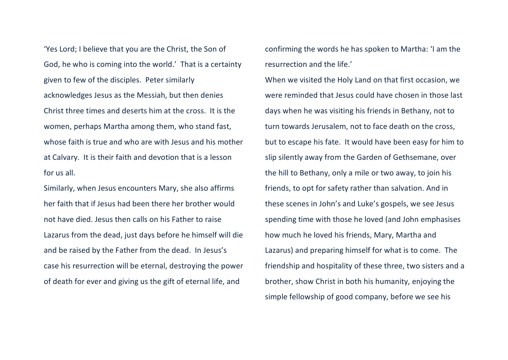'Yes Lord; I believe that you are the Christ, the Son of God, he who is coming into the world.' That is a certainty given to few of the disciples. Peter similarly acknowledges Jesus as the Messiah, but then denies Christ three times and deserts him at the cross. It is the women, perhaps Martha among them, who stand fast, whose faith is true and who are with Jesus and his mother at Calvary. It is their faith and devotion that is a lesson for us all.

Similarly, when Jesus encounters Mary, she also affirms her faith that if Jesus had been there her brother would not have died. Jesus then calls on his Father to raise Lazarus from the dead, just days before he himself will die and be raised by the Father from the dead. In Jesus's case his resurrection will be eternal, destroying the power of death for ever and giving us the gift of eternal life, and

confirming the words he has spoken to Martha: 'I am the resurrection and the life.'

When we visited the Holy Land on that first occasion, we were reminded that Jesus could have chosen in those last days when he was visiting his friends in Bethany, not to turn towards Jerusalem, not to face death on the cross, but to escape his fate. It would have been easy for him to slip silently away from the Garden of Gethsemane, over the hill to Bethany, only a mile or two away, to join his friends, to opt for safety rather than salvation. And in these scenes in John's and Luke's gospels, we see Jesus spending time with those he loved (and John emphasises how much he loved his friends, Mary, Martha and Lazarus) and preparing himself for what is to come. The friendship and hospitality of these three, two sisters and a brother, show Christ in both his humanity, enjoying the simple fellowship of good company, before we see his